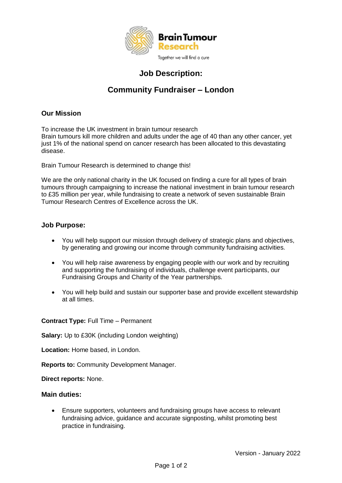

# **Job Description:**

# **Community Fundraiser – London**

## **Our Mission**

To increase the UK investment in brain tumour research Brain tumours kill more children and adults under the age of 40 than any other cancer, yet just 1% of the national spend on cancer research has been allocated to this devastating disease.

Brain Tumour Research is determined to change this!

We are the only national charity in the UK focused on finding a cure for all types of brain tumours through campaigning to increase the national investment in brain tumour research to £35 million per year, while fundraising to create a network of seven sustainable Brain Tumour Research Centres of Excellence across the UK.

### **Job Purpose:**

- You will help support our mission through delivery of strategic plans and objectives, by generating and growing our income through community fundraising activities.
- You will help raise awareness by engaging people with our work and by recruiting and supporting the fundraising of individuals, challenge event participants, our Fundraising Groups and Charity of the Year partnerships.
- You will help build and sustain our supporter base and provide excellent stewardship at all times.

**Contract Type:** Full Time – Permanent

**Salary:** Up to £30K (including London weighting)

**Location:** Home based, in London.

**Reports to:** Community Development Manager.

**Direct reports:** None.

#### **Main duties:**

 Ensure supporters, volunteers and fundraising groups have access to relevant fundraising advice, guidance and accurate signposting, whilst promoting best practice in fundraising.